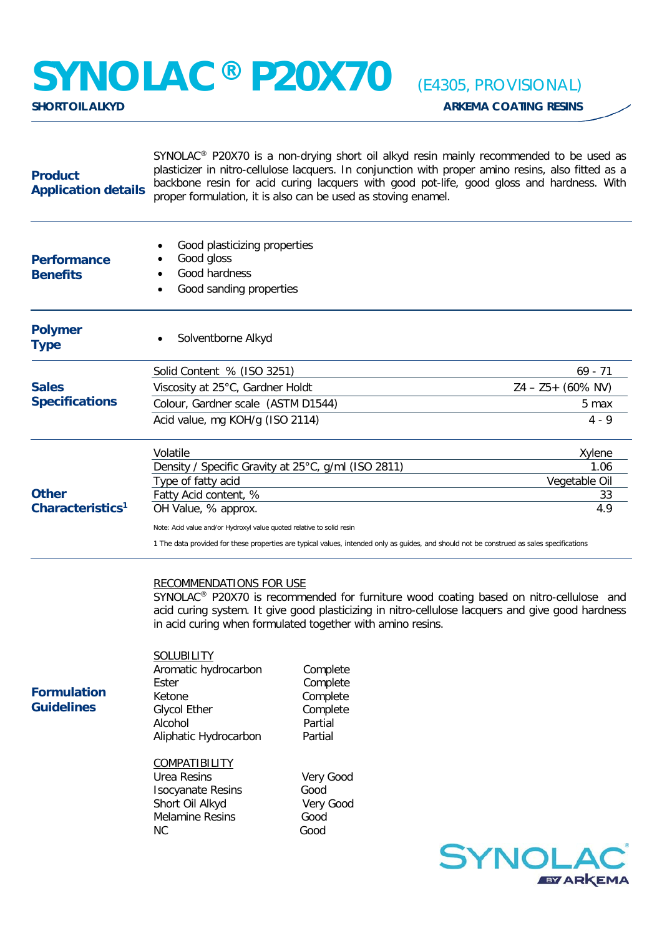## **SYNOLAC® P20X70** *(E4305, PROVISIONAL)*

| <b>Product</b><br><b>Application details</b> | SYNOLAC <sup>®</sup> P20X70 is a non-drying short oil alkyd resin mainly recommended to be used as<br>plasticizer in nitro-cellulose lacquers. In conjunction with proper amino resins, also fitted as a<br>backbone resin for acid curing lacquers with good pot-life, good gloss and hardness. With<br>proper formulation, it is also can be used as stoving enamel. |                                                                                                                                               |                                                                                                                                                                                            |  |
|----------------------------------------------|------------------------------------------------------------------------------------------------------------------------------------------------------------------------------------------------------------------------------------------------------------------------------------------------------------------------------------------------------------------------|-----------------------------------------------------------------------------------------------------------------------------------------------|--------------------------------------------------------------------------------------------------------------------------------------------------------------------------------------------|--|
| <b>Performance</b><br><b>Benefits</b>        | Good plasticizing properties<br>Good gloss<br>Good hardness<br>Good sanding properties                                                                                                                                                                                                                                                                                 |                                                                                                                                               |                                                                                                                                                                                            |  |
| <b>Polymer</b><br><b>Type</b>                | Solventborne Alkyd                                                                                                                                                                                                                                                                                                                                                     |                                                                                                                                               |                                                                                                                                                                                            |  |
|                                              | Solid Content % (ISO 3251)                                                                                                                                                                                                                                                                                                                                             | $69 - 71$                                                                                                                                     |                                                                                                                                                                                            |  |
| <b>Sales</b><br><b>Specifications</b>        | Viscosity at 25°C, Gardner Holdt                                                                                                                                                                                                                                                                                                                                       | $Z4 - Z5 + (60\% NV)$                                                                                                                         |                                                                                                                                                                                            |  |
|                                              | Colour, Gardner scale (ASTM D1544)                                                                                                                                                                                                                                                                                                                                     |                                                                                                                                               | 5 max                                                                                                                                                                                      |  |
|                                              | Acid value, mg KOH/g (ISO 2114)                                                                                                                                                                                                                                                                                                                                        |                                                                                                                                               | $4 - 9$                                                                                                                                                                                    |  |
|                                              | Volatile                                                                                                                                                                                                                                                                                                                                                               |                                                                                                                                               | Xylene                                                                                                                                                                                     |  |
|                                              | Density / Specific Gravity at 25°C, g/ml (ISO 2811)                                                                                                                                                                                                                                                                                                                    |                                                                                                                                               | 1.06                                                                                                                                                                                       |  |
|                                              | Type of fatty acid                                                                                                                                                                                                                                                                                                                                                     |                                                                                                                                               | Vegetable Oil                                                                                                                                                                              |  |
| <b>Other</b>                                 | Fatty Acid content, %<br>33                                                                                                                                                                                                                                                                                                                                            |                                                                                                                                               |                                                                                                                                                                                            |  |
| Characteristics <sup>1</sup>                 | OH Value, % approx.<br>4.9                                                                                                                                                                                                                                                                                                                                             |                                                                                                                                               |                                                                                                                                                                                            |  |
|                                              | Note: Acid value and/or Hydroxyl value quoted relative to solid resin<br>1 The data provided for these properties are typical values, intended only as guides, and should not be construed as sales specifications                                                                                                                                                     |                                                                                                                                               |                                                                                                                                                                                            |  |
| <b>Formulation</b><br><b>Guidelines</b>      | <b>RECOMMENDATIONS FOR USE</b><br>SOLUBILITY<br>Aromatic hydrocarbon<br>Ester<br>Ketone<br><b>Glycol Ether</b><br>Alcohol<br>Aliphatic Hydrocarbon<br><b>COMPATIBILITY</b><br><b>Urea Resins</b>                                                                                                                                                                       | in acid curing when formulated together with amino resins.<br>Complete<br>Complete<br>Complete<br>Complete<br>Partial<br>Partial<br>Very Good | SYNOLAC® P20X70 is recommended for furniture wood coating based on nitro-cellulose and<br>acid curing system. It give good plasticizing in nitro-cellulose lacquers and give good hardness |  |
|                                              | <b>Isocyanate Resins</b>                                                                                                                                                                                                                                                                                                                                               | Good                                                                                                                                          |                                                                                                                                                                                            |  |
|                                              | Short Oil Alkyd<br><b>Melamine Resins</b>                                                                                                                                                                                                                                                                                                                              | Very Good<br>Good                                                                                                                             |                                                                                                                                                                                            |  |
|                                              | NC.                                                                                                                                                                                                                                                                                                                                                                    | Good                                                                                                                                          |                                                                                                                                                                                            |  |
|                                              |                                                                                                                                                                                                                                                                                                                                                                        |                                                                                                                                               | <b>SYNOLAC</b><br><b>EY ARKEMA</b>                                                                                                                                                         |  |